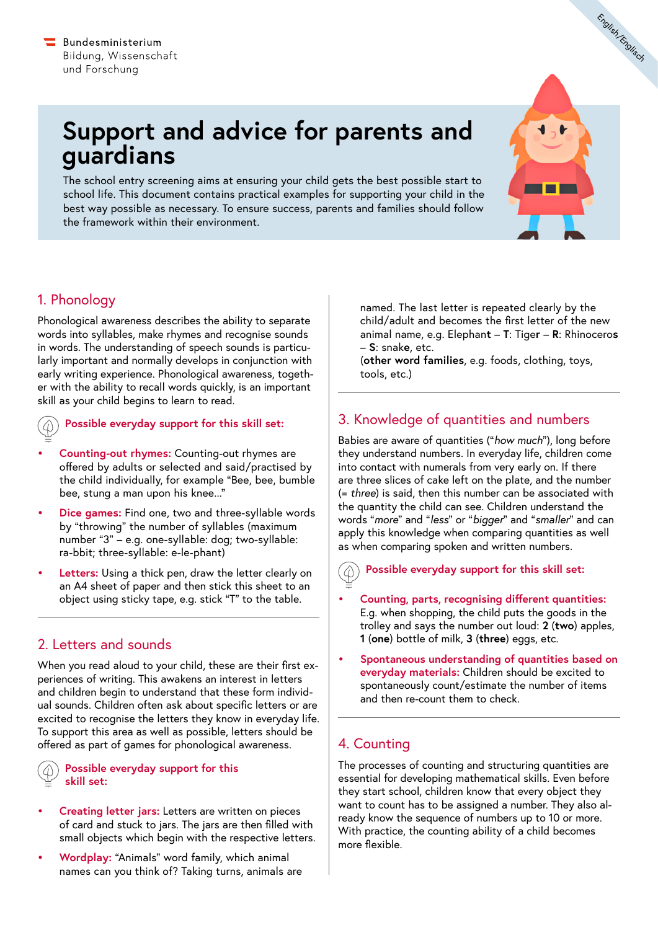# **Support and advice for parents and guardians**

The school entry screening aims at ensuring your child gets the best possible start to school life. This document contains practical examples for supporting your child in the best way possible as necessary. To ensure success, parents and families should follow the framework within their environment.

# 1. Phonology

Phonological awareness describes the ability to separate words into syllables, make rhymes and recognise sounds in words. The understanding of speech sounds is particularly important and normally develops in conjunction with early writing experience. Phonological awareness, together with the ability to recall words quickly, is an important skill as your child begins to learn to read.

**Possible everyday support for this skill set:**

- **• Counting-out rhymes:** Counting-out rhymes are offered by adults or selected and said/practised by the child individually, for example "Bee, bee, bumble bee, stung a man upon his knee..."
- **• Dice games:** Find one, two and three-syllable words by "throwing" the number of syllables (maximum number "3" – e.g. one-syllable: dog; two-syllable: ra-bbit; three-syllable: e-le-phant)
- **• Letters:** Using a thick pen, draw the letter clearly on an A4 sheet of paper and then stick this sheet to an object using sticky tape, e.g. stick "T" to the table.

## 2. Letters and sounds

When you read aloud to your child, these are their first experiences of writing. This awakens an interest in letters and children begin to understand that these form individual sounds. Children often ask about specific letters or are excited to recognise the letters they know in everyday life. To support this area as well as possible, letters should be offered as part of games for phonological awareness.

#### **Possible everyday support for this skill set:**

- **• Creating letter jars:** Letters are written on pieces of card and stuck to jars. The jars are then filled with small objects which begin with the respective letters.
- **• Wordplay:** "Animals" word family, which animal names can you think of? Taking turns, animals are

named. The last letter is repeated clearly by the child/adult and becomes the first letter of the new animal name, e.g. Elephan**t** – **T**: Tige**r** – **R**: Rhinocero**s** – **S**: snak**e**, etc.

English/Englisch

(**other word families**, e.g. foods, clothing, toys, tools, etc.)

# 3. Knowledge of quantities and numbers

Babies are aware of quantities ("*how much*"), long before they understand numbers. In everyday life, children come into contact with numerals from very early on. If there are three slices of cake left on the plate, and the number (= *three*) is said, then this number can be associated with the quantity the child can see. Children understand the words "*more*" and "*less*" or "*bigger*" and "*smaller*" and can apply this knowledge when comparing quantities as well as when comparing spoken and written numbers.

**Possible everyday support for this skill set:**  $(\mathcal{D})$ 

- **• Counting, parts, recognising different quantities:**  E.g. when shopping, the child puts the goods in the trolley and says the number out loud: **2** (**two**) apples, **1** (**one**) bottle of milk, **3** (**three**) eggs, etc.
- **• Spontaneous understanding of quantities based on everyday materials:** Children should be excited to spontaneously count/estimate the number of items and then re-count them to check.

## 4. Counting

The processes of counting and structuring quantities are essential for developing mathematical skills. Even before they start school, children know that every object they want to count has to be assigned a number. They also already know the sequence of numbers up to 10 or more. With practice, the counting ability of a child becomes more flexible.